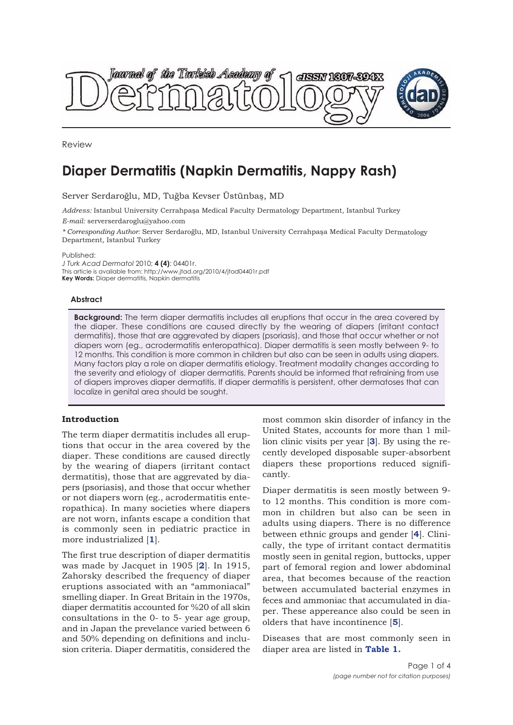

Review

# **Diaper Dermatitis (Napkin Dermatitis, Nappy Rash)**

Server Serdaroğlu, MD, Tuğba Kevser Üstünbaş, MD

*Address:* Istanbul University Cerrahpaşa Medical Faculty Dermatology Department, Istanbul Turkey *E-mail:* serverserdaroglu@yahoo.com

*\* Corresponding Author:* Server Serdaroğlu, MD, Istanbul University Cerrahpaşa Medical Faculty Dermatology Department, Istanbul Turkey

Published:

*J Turk Acad Dermatol* 2010; **4 (4)**: 04401r. This article is available from: http://www.jtad.org/2010/4/jtad04401r.pdf **Key Words:** Diaper dermatitis, Napkin dermatitis

#### **Abstract**

**Background:** The term diaper dermatitis includes all eruptions that occur in the area covered by the diaper. These conditions are caused directly by the wearing of diapers (irritant contact dermatitis), those that are aggrevated by diapers (psoriasis), and those that occur whether or not diapers worn (eg., acrodermatitis enteropathica). Diaper dermatitis is seen mostly between 9- to 12 months. This condition is more common in children but also can be seen in adults using diapers. Many factors play a role on diaper dermatitis etiology. Treatment modality changes according to the severity and etiology of diaper dermatitis. Parents should be informed that refraining from use of diapers improves diaper dermatitis. If diaper dermatitis is persistent, other dermatoses that can localize in genital area should be sought.

#### **Introduction**

The term diaper dermatitis includes all eruptions that occur in the area covered by the diaper. These conditions are caused directly by the wearing of diapers (irritant contact dermatitis), those that are aggrevated by diapers (psoriasis), and those that occur whether or not diapers worn (eg., acrodermatitis enteropathica). In many societies where diapers are not worn, infants escape a condition that is commonly seen in pediatric practice in more industrialized [**1**].

The first true description of diaper dermatitis was made by Jacquet in 1905 [**2**]. In 1915, Zahorsky described the frequency of diaper eruptions associated with an "ammoniacal" smelling diaper. In Great Britain in the 1970s, diaper dermatitis accounted for %20 of all skin consultations in the 0- to 5- year age group, and in Japan the prevelance varied between 6 and 50% depending on definitions and inclusion criteria. Diaper dermatitis, considered the

most common skin disorder of infancy in the United States, accounts for more than 1 million clinic visits per year [**3**]. By using the recently developed disposable super-absorbent diapers these proportions reduced significantly.

Diaper dermatitis is seen mostly between 9 to 12 months. This condition is more common in children but also can be seen in adults using diapers. There is no difference between ethnic groups and gender [**4**]. Clinically, the type of irritant contact dermatitis mostly seen in genital region, buttocks, upper part of femoral region and lower abdominal area, that becomes because of the reaction between accumulated bacterial enzymes in feces and ammoniac that accumulated in diaper. These appereance also could be seen in olders that have incontinence [**5**].

Diseases that are most commonly seen in diaper area are listed in **Table 1.**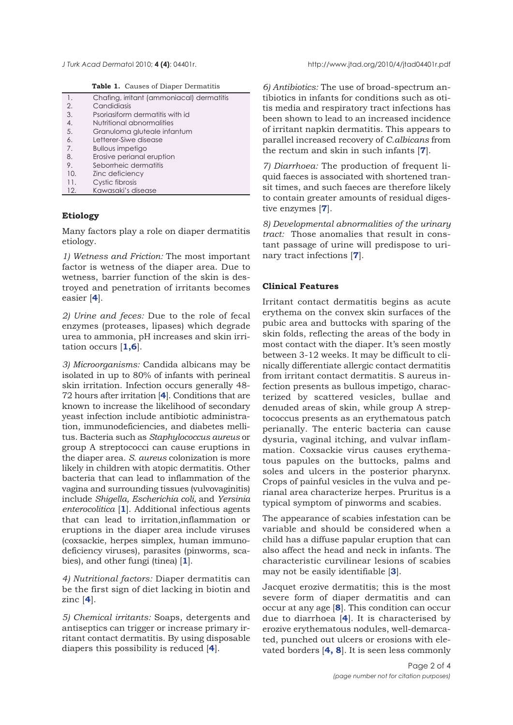**Table 1.** Causes of Diaper Dermatitis

| 1.  | Chafing, irritant (ammoniacal) dermatitis |
|-----|-------------------------------------------|
| 2.  | Candidiasis                               |
| 3.  | Psoriasiform dermatitis with id           |
| 4.  | Nutritional abnormalities                 |
| 5.  | Granuloma gluteale infantum               |
| 6.  | Letterer-Siwe disease                     |
| 7.  | Bullous impetigo                          |
| 8.  | Erosive perianal eruption                 |
| 9.  | Seborrheic dermatitis                     |
| 10. | Zinc deficiency                           |
| 11. | Cystic fibrosis                           |
| 12. | Kawasaki's disease                        |

## **Etiology**

Many factors play a role on diaper dermatitis etiology.

*1) Wetness and Friction:* The most important factor is wetness of the diaper area. Due to wetness, barrier function of the skin is destroyed and penetration of irritants becomes easier [**4**].

*2) Urine and feces:* Due to the role of fecal enzymes (proteases, lipases) which degrade urea to ammonia, pH increases and skin irritation occurs [**1,6**].

*3) Microorganisms:* Candida albicans may be isolated in up to 80% of infants with perineal skin irritation. Infection occurs generally 48- 72 hours after irritation [**4**]. Conditions that are known to increase the likelihood of secondary yeast infection include antibiotic administration, immunodeficiencies, and diabetes mellitus. Bacteria such as *Staphylococcus aureus* or group A streptococci can cause eruptions in the diaper area. *S. aureus* colonization is more likely in children with atopic dermatitis. Other bacteria that can lead to inflammation of the vagina and surrounding tissues (vulvovaginitis) include *Shigella, Escherichia coli,* and *Yersinia enterocolitica* [**1**]. Additional infectious agents that can lead to irritation,inflammation or eruptions in the diaper area include viruses (coxsackie, herpes simplex, human immunodeficiency viruses), parasites (pinworms, scabies), and other fungi (tinea) [**1**].

*4) Nutritional factors:* Diaper dermatitis can be the first sign of diet lacking in biotin and zinc [**4**].

*5) Chemical irritants:* Soaps, detergents and antiseptics can trigger or increase primary irritant contact dermatitis. By using disposable diapers this possibility is reduced [**4**].

*J Turk Acad Dermato*l 2010; **4 (4)**: 04401r. http://www.jtad.org/2010/4/jtad04401r.pdf

*6) Antibiotics:* The use of broad-spectrum antibiotics in infants for conditions such as otitis media and respiratory tract infections has been shown to lead to an increased incidence of irritant napkin dermatitis. This appears to parallel increased recovery of *C.albicans* from the rectum and skin in such infants [**7**].

*7) Diarrhoea:* The production of frequent liquid faeces is associated with shortened transit times, and such faeces are therefore likely to contain greater amounts of residual digestive enzymes [**7**].

*8) Developmental abnormalities of the urinary tract:* Those anomalies that result in constant passage of urine will predispose to urinary tract infections [**7**].

## **Clinical Features**

Irritant contact dermatitis begins as acute erythema on the convex skin surfaces of the pubic area and buttocks with sparing of the skin folds, reflecting the areas of the body in most contact with the diaper. It's seen mostly between 3-12 weeks. It may be difficult to clinically differentiate allergic contact dermatitis from irritant contact dermatitis. S aureus infection presents as bullous impetigo, characterized by scattered vesicles, bullae and denuded areas of skin, while group A streptococcus presents as an erythematous patch perianally. The enteric bacteria can cause dysuria, vaginal itching, and vulvar inflammation. Coxsackie virus causes erythematous papules on the buttocks, palms and soles and ulcers in the posterior pharynx. Crops of painful vesicles in the vulva and perianal area characterize herpes. Pruritus is a typical symptom of pinworms and scabies.

The appearance of scabies infestation can be variable and should be considered when a child has a diffuse papular eruption that can also affect the head and neck in infants. The characteristic curvilinear lesions of scabies may not be easily identifiable [**3**].

Jacquet erozive dermatitis; this is the most severe form of diaper dermatitis and can occur at any age [**8**]. This condition can occur due to diarrhoea [**4**]. It is characterised by erozive erythematous nodules, well-demarcated, punched out ulcers or erosions with elevated borders [**4, 8**]. It is seen less commonly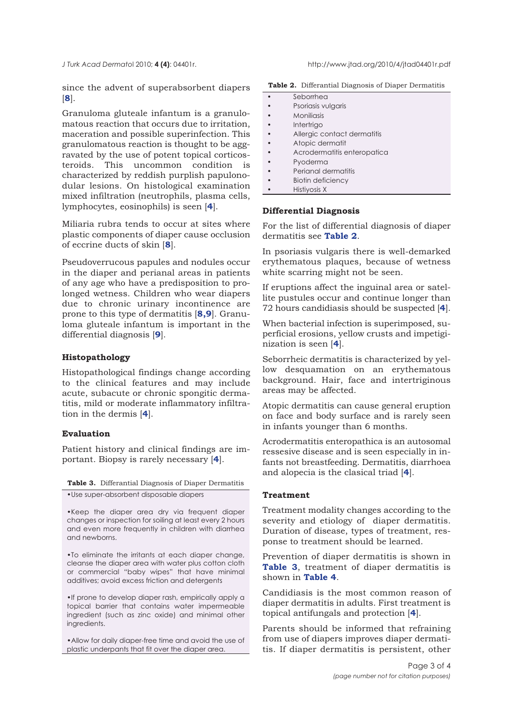*J Turk Acad Dermato*l 2010; **4 (4)**: 04401r. http://www.jtad.org/2010/4/jtad04401r.pdf

since the advent of superabsorbent diapers [**8**].

Granuloma gluteale infantum is a granulomatous reaction that occurs due to irritation, maceration and possible superinfection. This granulomatous reaction is thought to be aggravated by the use of potent topical corticosteroids. This uncommon condition is characterized by reddish purplish papulonodular lesions. On histological examination mixed infiltration (neutrophils, plasma cells, lymphocytes, eosinophils) is seen [**4**].

Miliaria rubra tends to occur at sites where plastic components of diaper cause occlusion of eccrine ducts of skin [**8**].

Pseudoverrucous papules and nodules occur in the diaper and perianal areas in patients of any age who have a predisposition to prolonged wetness. Children who wear diapers due to chronic urinary incontinence are prone to this type of dermatitis [**8,9**]. Granuloma gluteale infantum is important in the differential diagnosis [**9**].

### **Histopathology**

Histopathological findings change according to the clinical features and may include acute, subacute or chronic spongitic dermatitis, mild or moderate inflammatory infiltration in the dermis [**4**].

# **Evaluation**

Patient history and clinical findings are important. Biopsy is rarely necessary [**4**].

**Table 3.** Differantial Diagnosis of Diaper Dermatitis •Use super-absorbent disposable diapers

•Keep the diaper area dry via frequent diaper changes or inspection for soiling at least every 2 hours and even more frequently in children with diarrhea and newborns.

•To eliminate the irritants at each diaper change, cleanse the diaper area with water plus cotton cloth or commercial "baby wipes" that have minimal additives; avoid excess friction and detergents

•If prone to develop diaper rash, empirically apply a topical barrier that contains water impermeable ingredient (such as zinc oxide) and minimal other ingredients.

•Allow for daily diaper-free time and avoid the use of plastic underpants that fit over the diaper area.

|  | Table 2. Differantial Diagnosis of Diaper Dermatitis |  |  |  |
|--|------------------------------------------------------|--|--|--|
|--|------------------------------------------------------|--|--|--|

| Seborrhea                   |
|-----------------------------|
| Psoriasis vulgaris          |
| Moniliasis                  |
| Intertrigo                  |
| Allergic contact dermatitis |
| Atopic dermatit             |
| Acrodermatitis enteropatica |
| Pyoderma                    |
| Perianal dermatitis         |
| <b>Biotin deficiency</b>    |

• Histiyosis X

#### **Differential Diagnosis**

For the list of differential diagnosis of diaper dermatitis see **Table 2**.

In psoriasis vulgaris there is well-demarked erythematous plaques, because of wetness white scarring might not be seen.

If eruptions affect the inguinal area or satellite pustules occur and continue longer than 72 hours candidiasis should be suspected [**4**].

When bacterial infection is superimposed, superficial erosions, yellow crusts and impetiginization is seen [**4**].

Seborrheic dermatitis is characterized by yellow desquamation on an erythematous background. Hair, face and intertriginous areas may be affected.

Atopic dermatitis can cause general eruption on face and body surface and is rarely seen in infants younger than 6 months.

Acrodermatitis enteropathica is an autosomal ressesive disease and is seen especially in infants not breastfeeding. Dermatitis, diarrhoea and alopecia is the clasical triad [**4**].

#### **Treatment**

Treatment modality changes according to the severity and etiology of diaper dermatitis. Duration of disease, types of treatment, response to treatment should be learned.

Prevention of diaper dermatitis is shown in **Table 3**, treatment of diaper dermatitis is shown in **Table 4**.

Candidiasis is the most common reason of diaper dermatitis in adults. First treatment is topical antifungals and protection [**4**].

Parents should be informed that refraining from use of diapers improves diaper dermatitis. If diaper dermatitis is persistent, other